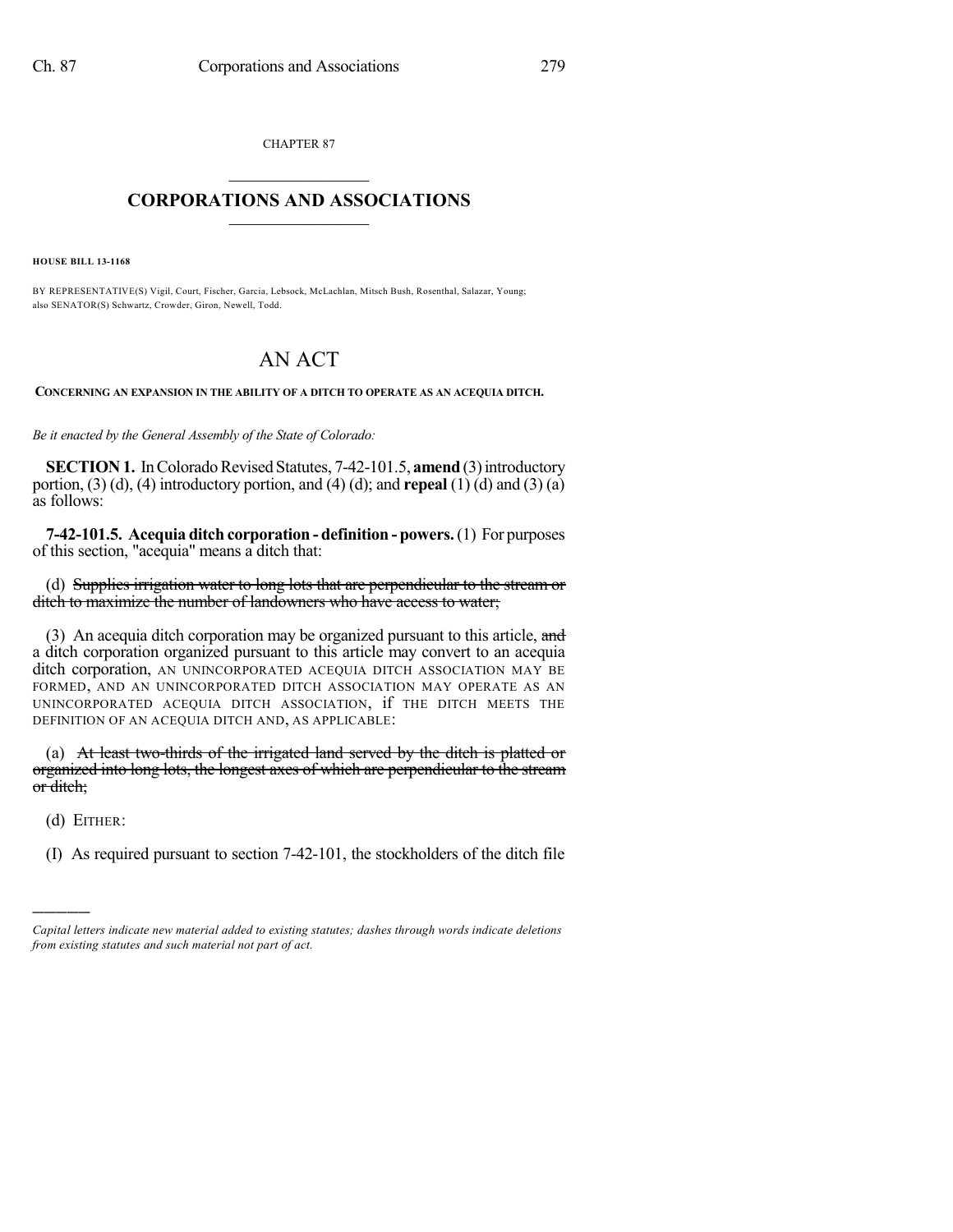CHAPTER 87  $\overline{\phantom{a}}$  . The set of the set of the set of the set of the set of the set of the set of the set of the set of the set of the set of the set of the set of the set of the set of the set of the set of the set of the set o

## **CORPORATIONS AND ASSOCIATIONS**  $\_$   $\_$   $\_$   $\_$   $\_$   $\_$   $\_$   $\_$   $\_$

**HOUSE BILL 13-1168**

BY REPRESENTATIVE(S) Vigil, Court, Fischer, Garcia, Lebsock, McLachlan, Mitsch Bush, Rosenthal, Salazar, Young; also SENATOR(S) Schwartz, Crowder, Giron, Newell, Todd.

## AN ACT

**CONCERNING AN EXPANSION IN THE ABILITY OF A DITCH TO OPERATE AS AN ACEQUIA DITCH.**

*Be it enacted by the General Assembly of the State of Colorado:*

**SECTION 1.** In Colorado Revised Statutes, 7-42-101.5, **amend** (3) introductory portion, (3) (d), (4) introductory portion, and (4) (d); and **repeal** (1) (d) and (3) (a) as follows:

**7-42-101.5. Acequia ditch corporation - definition - powers.**(1) For purposes of this section, "acequia" means a ditch that:

(d) Supplies irrigation water to long lots that are perpendicular to the stream or ditch to maximize the number of landowners who have access to water;

(3) An acequia ditch corporation may be organized pursuant to this article, and a ditch corporation organized pursuant to this article may convert to an acequia ditch corporation, AN UNINCORPORATED ACEQUIA DITCH ASSOCIATION MAY BE FORMED, AND AN UNINCORPORATED DITCH ASSOCIATION MAY OPERATE AS AN UNINCORPORATED ACEQUIA DITCH ASSOCIATION, if THE DITCH MEETS THE DEFINITION OF AN ACEQUIA DITCH AND, AS APPLICABLE:

(a) At least two-thirds of the irrigated land served by the ditch is platted or organized into long lots, the longest axes of which are perpendicular to the stream or ditch;

(d) EITHER:

)))))

(I) As required pursuant to section 7-42-101, the stockholders of the ditch file

*Capital letters indicate new material added to existing statutes; dashes through words indicate deletions from existing statutes and such material not part of act.*